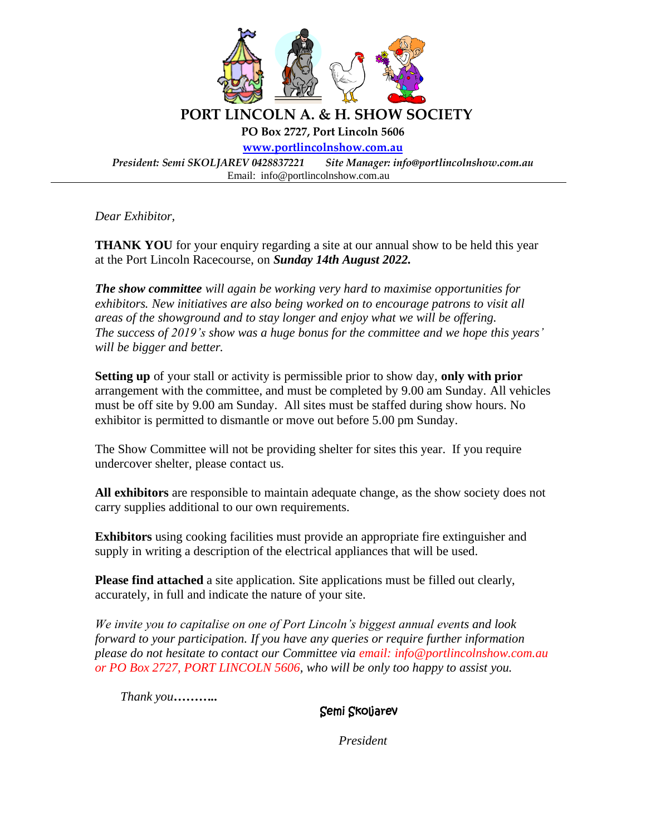

*Dear Exhibitor,*

**THANK YOU** for your enquiry regarding a site at our annual show to be held this year at the Port Lincoln Racecourse, on *Sunday 14th August 2022.*

*The show committee will again be working very hard to maximise opportunities for exhibitors. New initiatives are also being worked on to encourage patrons to visit all areas of the showground and to stay longer and enjoy what we will be offering. The success of 2019's show was a huge bonus for the committee and we hope this years' will be bigger and better.* 

**Setting up** of your stall or activity is permissible prior to show day, **only with prior** arrangement with the committee, and must be completed by 9.00 am Sunday. All vehicles must be off site by 9.00 am Sunday. All sites must be staffed during show hours. No exhibitor is permitted to dismantle or move out before 5.00 pm Sunday.

The Show Committee will not be providing shelter for sites this year. If you require undercover shelter, please contact us.

**All exhibitors** are responsible to maintain adequate change, as the show society does not carry supplies additional to our own requirements.

**Exhibitors** using cooking facilities must provide an appropriate fire extinguisher and supply in writing a description of the electrical appliances that will be used.

**Please find attached** a site application. Site applications must be filled out clearly, accurately, in full and indicate the nature of your site.

*We invite you to capitalise on one of Port Lincoln's biggest annual events and look forward to your participation. If you have any queries or require further information please do not hesitate to contact our Committee via email: info@portlincolnshow.com.au or PO Box 2727, PORT LINCOLN 5606, who will be only too happy to assist you.*

 *Thank you………..* 

Semi Skoljarev

*President*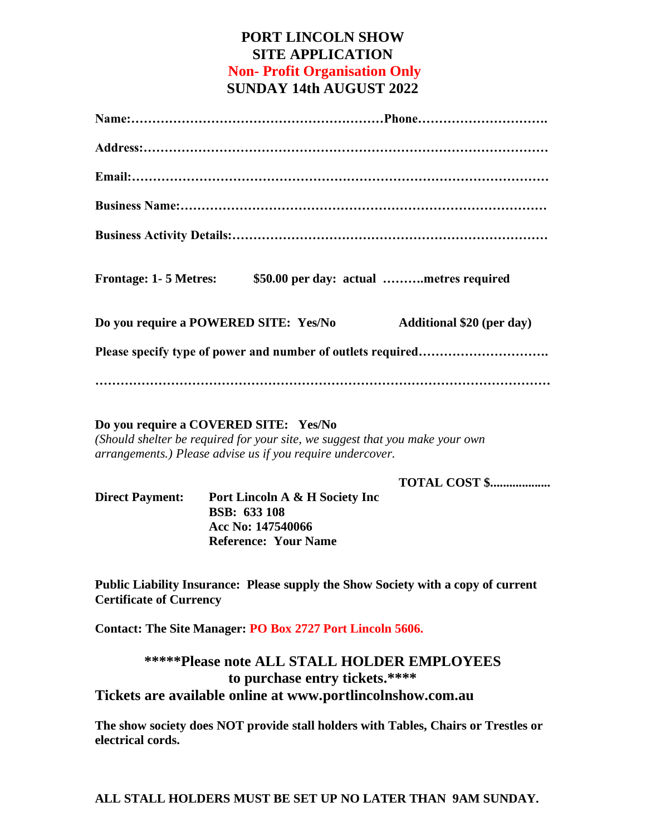## **PORT LINCOLN SHOW SITE APPLICATION Non- Profit Organisation Only SUNDAY 14th AUGUST 2022**

| \$50.00 per day: actual metres required<br><b>Frontage: 1-5 Metres:</b>                                                                                                             |
|-------------------------------------------------------------------------------------------------------------------------------------------------------------------------------------|
| Do you require a POWERED SITE: Yes/No<br><b>Additional \$20 (per day)</b>                                                                                                           |
|                                                                                                                                                                                     |
|                                                                                                                                                                                     |
| Do you require a COVERED SITE: Yes/No<br>(Should shelter be required for your site, we suggest that you make your own<br>arrangements.) Please advise us if you require undercover. |

**TOTAL COST \$...................** 

| <b>Direct Payment:</b> | Port Lincoln A & H Society Inc |
|------------------------|--------------------------------|
|                        | <b>BSB: 633 108</b>            |
|                        | Acc No: 147540066              |
|                        | <b>Reference: Your Name</b>    |

**Public Liability Insurance: Please supply the Show Society with a copy of current Certificate of Currency**

**Contact: The Site Manager: PO Box 2727 Port Lincoln 5606.** 

**\*\*\*\*\*Please note ALL STALL HOLDER EMPLOYEES to purchase entry tickets.\*\*\*\* Tickets are available online at www.portlincolnshow.com.au**

**The show society does NOT provide stall holders with Tables, Chairs or Trestles or electrical cords.**